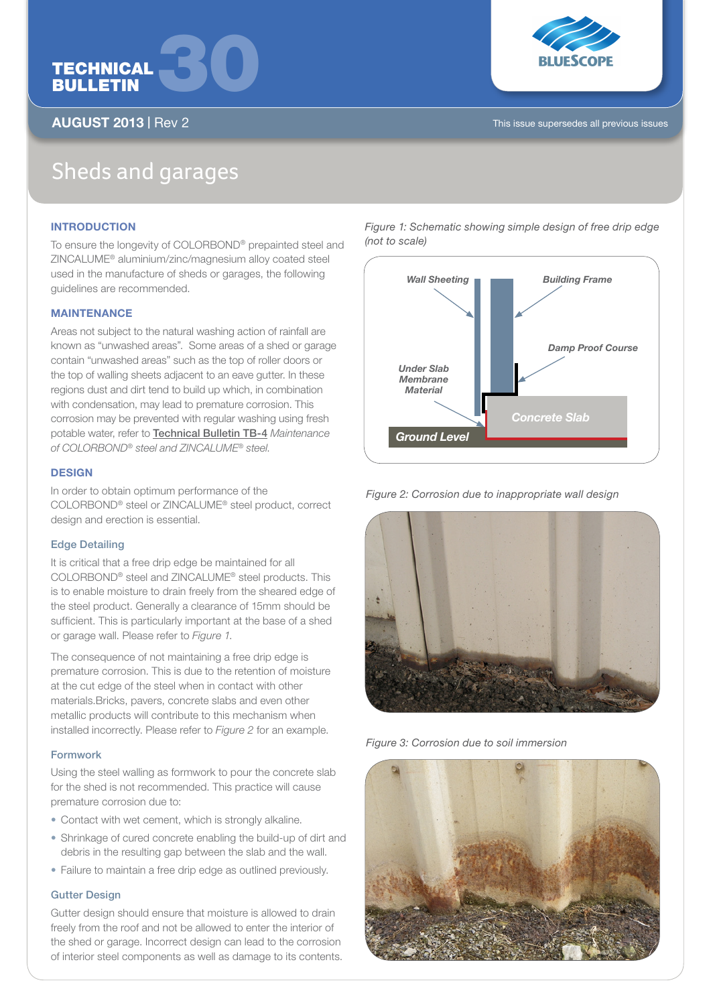



AUGUST 2013 | Rev 2 This issue supersedes all previous issues

# Sheds and garages

# **INTRODUCTION**

To ensure the longevity of COLORBOND® prepainted steel and ZINCALUME® aluminium/zinc/magnesium alloy coated steel used in the manufacture of sheds or garages, the following guidelines are recommended.

# **MAINTENANCE**

Areas not subject to the natural washing action of rainfall are known as "unwashed areas". Some areas of a shed or garage contain "unwashed areas" such as the top of roller doors or the top of walling sheets adjacent to an eave gutter. In these regions dust and dirt tend to build up which, in combination with condensation, may lead to premature corrosion. This corrosion may be prevented with regular washing using fresh potable water, refer to Technical Bulletin TB-4 *Maintenance of COLORBOND® steel and ZINCALUME® steel*.

# **DESIGN**

In order to obtain optimum performance of the COLORBOND® steel or ZINCALUME® steel product, correct design and erection is essential.

# Edge Detailing

It is critical that a free drip edge be maintained for all COLORBOND® steel and ZINCALUME® steel products. This is to enable moisture to drain freely from the sheared edge of the steel product. Generally a clearance of 15mm should be sufficient. This is particularly important at the base of a shed or garage wall. Please refer to *Figure 1*.

The consequence of not maintaining a free drip edge is premature corrosion. This is due to the retention of moisture at the cut edge of the steel when in contact with other materials.Bricks, pavers, concrete slabs and even other metallic products will contribute to this mechanism when installed incorrectly. Please refer to *Figure 2* for an example.

# Formwork

Using the steel walling as formwork to pour the concrete slab for the shed is not recommended. This practice will cause premature corrosion due to:

- Contact with wet cement, which is strongly alkaline.
- Shrinkage of cured concrete enabling the build-up of dirt and debris in the resulting gap between the slab and the wall.
- Failure to maintain a free drip edge as outlined previously.

# Gutter Design

Gutter design should ensure that moisture is allowed to drain freely from the roof and not be allowed to enter the interior of the shed or garage. Incorrect design can lead to the corrosion of interior steel components as well as damage to its contents.

*Wall Sheeting Building Frame Damp Proof Course Under Slab Membrane Material Ground Level Concrete Slab*

*Figure 1: Schematic showing simple design of free drip edge* 

*(not to scale)*

*Figure 2: Corrosion due to inappropriate wall design*



*Figure 3: Corrosion due to soil immersion*